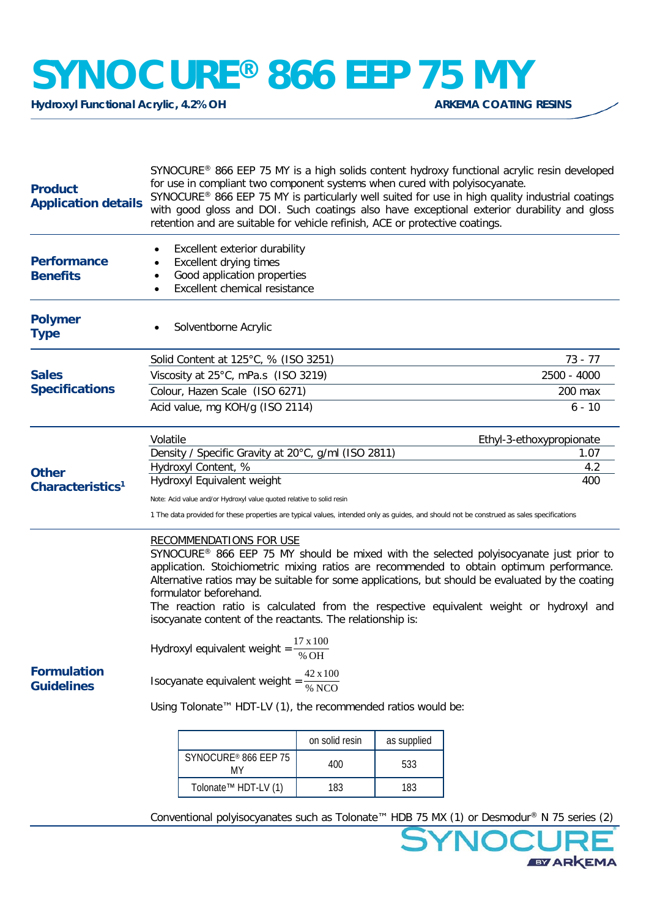## **SYNOCURE®** 866 EEP 75 MY

**Hydroxyl Functional Acrylic, 4.2% OH** 

| <b>Product</b><br><b>Application details</b>          | SYNOCURE <sup>®</sup> 866 EEP 75 MY is a high solids content hydroxy functional acrylic resin developed<br>for use in compliant two component systems when cured with polyisocyanate.<br>SYNOCURE® 866 EEP 75 MY is particularly well suited for use in high quality industrial coatings<br>with good gloss and DOI. Such coatings also have exceptional exterior durability and gloss<br>retention and are suitable for vehicle refinish, ACE or protective coatings.                                                            |                |             |                          |  |
|-------------------------------------------------------|-----------------------------------------------------------------------------------------------------------------------------------------------------------------------------------------------------------------------------------------------------------------------------------------------------------------------------------------------------------------------------------------------------------------------------------------------------------------------------------------------------------------------------------|----------------|-------------|--------------------------|--|
| <b>Performance</b>                                    | Excellent exterior durability<br>Excellent drying times                                                                                                                                                                                                                                                                                                                                                                                                                                                                           |                |             |                          |  |
| <b>Benefits</b>                                       | Good application properties                                                                                                                                                                                                                                                                                                                                                                                                                                                                                                       |                |             |                          |  |
|                                                       | Excellent chemical resistance                                                                                                                                                                                                                                                                                                                                                                                                                                                                                                     |                |             |                          |  |
| <b>Polymer</b><br><b>Type</b>                         | Solventborne Acrylic                                                                                                                                                                                                                                                                                                                                                                                                                                                                                                              |                |             |                          |  |
| <b>Sales</b><br><b>Specifications</b><br><b>Other</b> | Solid Content at 125°C, % (ISO 3251)                                                                                                                                                                                                                                                                                                                                                                                                                                                                                              |                |             | 73 - 77                  |  |
|                                                       | Viscosity at 25°C, mPa.s (ISO 3219)                                                                                                                                                                                                                                                                                                                                                                                                                                                                                               | 2500 - 4000    |             |                          |  |
|                                                       | Colour, Hazen Scale (ISO 6271)                                                                                                                                                                                                                                                                                                                                                                                                                                                                                                    | 200 max        |             |                          |  |
|                                                       | Acid value, mg KOH/g (ISO 2114)                                                                                                                                                                                                                                                                                                                                                                                                                                                                                                   |                |             | $6 - 10$                 |  |
|                                                       | Volatile                                                                                                                                                                                                                                                                                                                                                                                                                                                                                                                          |                |             | Ethyl-3-ethoxypropionate |  |
|                                                       | Density / Specific Gravity at 20°C, g/ml (ISO 2811)                                                                                                                                                                                                                                                                                                                                                                                                                                                                               |                |             | 1.07                     |  |
|                                                       | Hydroxyl Content, %                                                                                                                                                                                                                                                                                                                                                                                                                                                                                                               |                |             | 4.2                      |  |
| Characteristics <sup>1</sup>                          | Hydroxyl Equivalent weight<br>400                                                                                                                                                                                                                                                                                                                                                                                                                                                                                                 |                |             |                          |  |
|                                                       | Note: Acid value and/or Hydroxyl value quoted relative to solid resin<br>1 The data provided for these properties are typical values, intended only as guides, and should not be construed as sales specifications                                                                                                                                                                                                                                                                                                                |                |             |                          |  |
|                                                       | <b>RECOMMENDATIONS FOR USE</b><br>SYNOCURE <sup>®</sup> 866 EEP 75 MY should be mixed with the selected polyisocyanate just prior to<br>application. Stoichiometric mixing ratios are recommended to obtain optimum performance.<br>Alternative ratios may be suitable for some applications, but should be evaluated by the coating<br>formulator beforehand.<br>The reaction ratio is calculated from the respective equivalent weight or hydroxyl and<br>isocyanate content of the reactants. The relationship is:<br>17 x 100 |                |             |                          |  |
|                                                       | Hydroxyl equivalent weight = $\frac{2}{\% \text{OH}}$                                                                                                                                                                                                                                                                                                                                                                                                                                                                             |                |             |                          |  |
| <b>Formulation</b><br><b>Guidelines</b>               | $42 \times 100$<br>Isocyanate equivalent weight =                                                                                                                                                                                                                                                                                                                                                                                                                                                                                 |                |             |                          |  |
|                                                       | Using Tolonate™ HDT-LV (1), the recommended ratios would be:                                                                                                                                                                                                                                                                                                                                                                                                                                                                      |                |             |                          |  |
|                                                       |                                                                                                                                                                                                                                                                                                                                                                                                                                                                                                                                   | on solid resin | as supplied |                          |  |
|                                                       | SYNOCURE® 866 EEP 75<br>MY                                                                                                                                                                                                                                                                                                                                                                                                                                                                                                        | 400            | 533         |                          |  |
|                                                       | Tolonate <sup>™</sup> HDT-LV (1)                                                                                                                                                                                                                                                                                                                                                                                                                                                                                                  | 183            | 183         |                          |  |
|                                                       | Conventional polyisocyanates such as Tolonate™ HDB 75 MX (1) or Desmodur® N 75 series (2)                                                                                                                                                                                                                                                                                                                                                                                                                                         |                |             |                          |  |